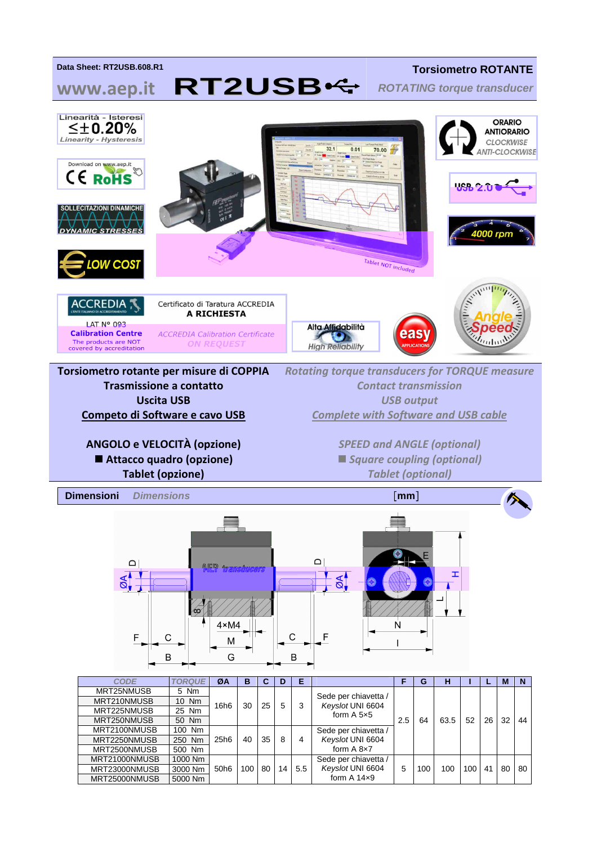| Data Sheet: RT2USB.608.R1                                                                   |                                         |                       |     |             |    |     |                                                       |                                                                   |      |                   | <b>Torsiometro ROTANTE</b>        |                |    |                                                        |               |
|---------------------------------------------------------------------------------------------|-----------------------------------------|-----------------------|-----|-------------|----|-----|-------------------------------------------------------|-------------------------------------------------------------------|------|-------------------|-----------------------------------|----------------|----|--------------------------------------------------------|---------------|
| www.aep.it                                                                                  |                                         |                       |     |             |    |     | <b>RT2USB-G</b>                                       |                                                                   |      |                   | <b>ROTATING torque transducer</b> |                |    |                                                        |               |
| Linearità - Isteresi                                                                        |                                         |                       |     |             |    |     |                                                       |                                                                   |      |                   |                                   |                |    |                                                        |               |
| $\leq \pm$ 0.20%<br><b>Linearity - Hysteresis</b>                                           |                                         |                       |     |             |    |     |                                                       | 70.00                                                             |      |                   |                                   |                |    | <b>ORARIO</b><br><b>ANTIORARIO</b><br><b>CLOCKWISE</b> | NTI-CLOCKWISE |
| Download on www.aep.it<br><b>CE ROHS</b>                                                    |                                         |                       |     |             |    |     |                                                       |                                                                   |      |                   |                                   | <b>USB 2.1</b> |    |                                                        |               |
| <b>SOLLECITAZIONI DINAMICHE</b><br>MIC STRESSES                                             |                                         |                       |     |             |    |     |                                                       |                                                                   |      |                   |                                   |                |    |                                                        |               |
| <b>LOW COST</b>                                                                             |                                         |                       |     |             |    |     |                                                       | Tablet NOT included                                               |      |                   |                                   |                |    |                                                        |               |
| <b>CREDIA:</b>                                                                              | Certificato di Taratura ACCREDIA        | <b>A RICHIESTA</b>    |     |             |    |     |                                                       |                                                                   |      |                   |                                   |                |    |                                                        |               |
| LAT N° 093<br><b>Calibration Centre</b><br>The products are NOT<br>covered by accreditation | <b>ACCREDIA Calibration Certificate</b> | <b>ON REQUEST</b>     |     |             |    |     | Alta Affidabilità<br><b>High Reliability</b>          |                                                                   |      |                   |                                   |                |    |                                                        |               |
|                                                                                             |                                         |                       |     |             |    |     |                                                       |                                                                   |      |                   |                                   |                |    |                                                        |               |
| Torsiometro rotante per misure di COPPIA                                                    | <b>Trasmissione a contatto</b>          |                       |     |             |    |     | <b>Rotating torque transducers for TORQUE measure</b> | <b>Contact transmission</b>                                       |      |                   |                                   |                |    |                                                        |               |
|                                                                                             | <b>Uscita USB</b>                       |                       |     |             |    |     |                                                       |                                                                   |      | <b>USB output</b> |                                   |                |    |                                                        |               |
| Competo di Software e cavo USB                                                              |                                         |                       |     |             |    |     | <b>Complete with Software and USB cable</b>           |                                                                   |      |                   |                                   |                |    |                                                        |               |
|                                                                                             |                                         |                       |     |             |    |     |                                                       |                                                                   |      |                   |                                   |                |    |                                                        |               |
| ANGOLO e VELOCITÀ (opzione)<br>Attacco quadro (opzione)                                     |                                         |                       |     |             |    |     |                                                       | <b>SPEED and ANGLE (optional)</b><br>■ Square coupling (optional) |      |                   |                                   |                |    |                                                        |               |
|                                                                                             | <b>Tablet (opzione)</b>                 |                       |     |             |    |     |                                                       | <b>Tablet (optional)</b>                                          |      |                   |                                   |                |    |                                                        |               |
| <b>Dimensioni</b>                                                                           | <b>Dimensions</b>                       |                       |     |             |    |     |                                                       |                                                                   | [mm] |                   |                                   |                |    |                                                        |               |
|                                                                                             |                                         |                       |     |             |    |     |                                                       |                                                                   |      |                   |                                   |                |    |                                                        |               |
|                                                                                             |                                         |                       |     |             |    |     |                                                       |                                                                   |      |                   |                                   |                |    |                                                        |               |
|                                                                                             |                                         |                       |     |             |    |     |                                                       |                                                                   |      |                   |                                   |                |    |                                                        |               |
| ≏                                                                                           |                                         | 瓜厚回<br>B <sub>n</sub> |     |             |    |     | $\Omega$                                              |                                                                   |      |                   | I                                 |                |    |                                                        |               |
|                                                                                             |                                         |                       |     |             |    |     | $\mathbb{S}^1$                                        |                                                                   |      |                   |                                   |                |    |                                                        |               |
|                                                                                             |                                         |                       |     |             |    |     |                                                       |                                                                   |      |                   |                                   |                |    |                                                        |               |
|                                                                                             | ∞                                       | $4 \times M4$         |     |             |    |     |                                                       |                                                                   | N    |                   |                                   |                |    |                                                        |               |
| F                                                                                           | C                                       | M                     |     |             |    | C   | F                                                     |                                                                   |      |                   |                                   |                |    |                                                        |               |
|                                                                                             | В                                       | G                     |     |             |    | B   |                                                       |                                                                   |      |                   |                                   |                |    |                                                        |               |
|                                                                                             |                                         |                       |     |             |    |     |                                                       |                                                                   |      |                   |                                   |                |    |                                                        |               |
| <b>CODE</b><br>MRT25NMUSB                                                                   | <b>TORQUE</b><br>5 Nm                   | ØA                    | в   | $\mathbf c$ | D  | Е   |                                                       |                                                                   | F    | G                 | $\overline{H}$                    | п              |    | M                                                      | N.            |
| MRT210NMUSB<br>MRT225NMUSB                                                                  | 10 <sup>1</sup><br>Nm<br>25<br>Nm       | 16h6                  | 30  | 25          | 5  | 3   | Sede per chiavetta /<br>Keyslot UNI 6604              |                                                                   |      |                   |                                   |                |    |                                                        |               |
| MRT250NMUSB                                                                                 | 50<br>Nm                                |                       |     |             |    |     | form A 5x5                                            |                                                                   | 2.5  | 64                | 63.5                              | 52             | 26 | 32                                                     | 44            |
| MRT2100NMUSB<br>MRT2250NMUSB                                                                | 100 Nm<br>250<br>Nm                     | 25h6                  | 40  | 35          | 8  | 4   | Sede per chiavetta /<br>Keyslot UNI 6604              |                                                                   |      |                   |                                   |                |    |                                                        |               |
| MRT2500NMUSB                                                                                | 500 Nm                                  |                       |     |             |    |     | form A 8x7                                            |                                                                   |      |                   |                                   |                |    |                                                        |               |
| MRT21000NMUSB<br>MRT23000NMUSB                                                              | 1000 Nm<br>3000 Nm                      | 50h6                  | 100 | 80          | 14 | 5.5 | Sede per chiavetta /<br>Keyslot UNI 6604              |                                                                   | 5    | 100               | 100                               | 100            | 41 | 80                                                     | 80            |

Keyslot UNI 6604 form A 14×9

MRT23000NMUSB 3000 Nm MRT25000NMUSB | 5000 Nm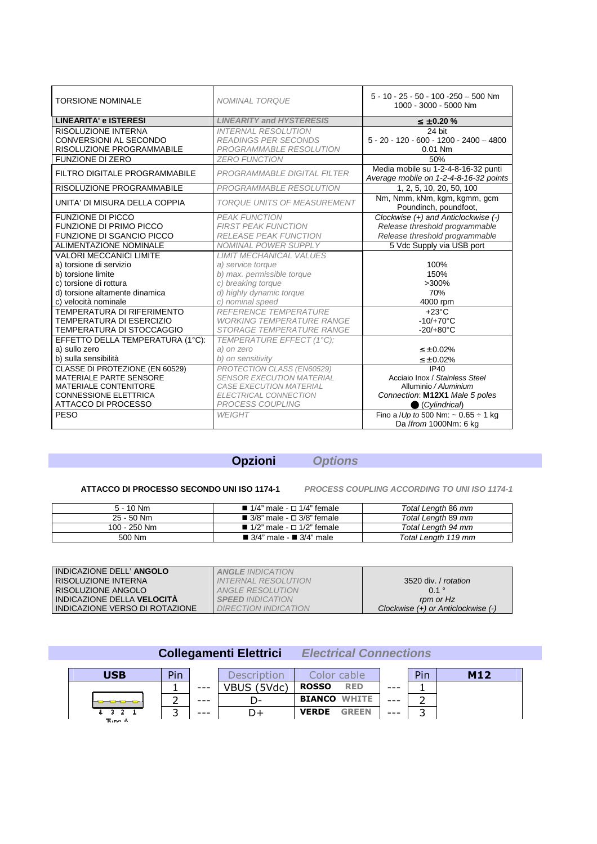| <b>TORSIONE NOMINALE</b>                                                                                                                                            | <b>NOMINAL TORQUE</b>                                                                                                                                   | $5 - 10 - 25 - 50 - 100 - 250 - 500$ Nm<br>1000 - 3000 - 5000 Nm                                                                     |  |  |  |  |
|---------------------------------------------------------------------------------------------------------------------------------------------------------------------|---------------------------------------------------------------------------------------------------------------------------------------------------------|--------------------------------------------------------------------------------------------------------------------------------------|--|--|--|--|
| <b>LINEARITA' e ISTERESI</b>                                                                                                                                        | <b>LINEARITY and HYSTERESIS</b>                                                                                                                         | $\leq \pm 0.20 \%$                                                                                                                   |  |  |  |  |
| RISOLUZIONE INTERNA<br>CONVERSIONI AL SECONDO<br>RISOLUZIONE PROGRAMMABILE                                                                                          | <b>INTERNAL RESOLUTION</b><br><b>READINGS PER SECONDS</b><br>PROGRAMMABLE RESOLUTION                                                                    | 24 bit<br>$5 - 20 - 120 - 600 - 1200 - 2400 - 4800$<br>0.01 Nm                                                                       |  |  |  |  |
| <b>FUNZIONE DI ZERO</b>                                                                                                                                             | <b>ZERO FUNCTION</b>                                                                                                                                    | 50%                                                                                                                                  |  |  |  |  |
| FILTRO DIGITALE PROGRAMMABILE                                                                                                                                       | PROGRAMMABLE DIGITAL FILTER                                                                                                                             | Media mobile su 1-2-4-8-16-32 punti<br>Average mobile on 1-2-4-8-16-32 points                                                        |  |  |  |  |
| RISOLUZIONE PROGRAMMABILE                                                                                                                                           | PROGRAMMABLE RESOLUTION                                                                                                                                 | 1, 2, 5, 10, 20, 50, 100                                                                                                             |  |  |  |  |
| UNITA' DI MISURA DELLA COPPIA                                                                                                                                       | <b>TORQUE UNITS OF MEASUREMENT</b>                                                                                                                      | Nm, Nmm, kNm, kgm, kgmm, gcm<br>Poundinch, poundfoot,                                                                                |  |  |  |  |
| <b>FUNZIONE DI PICCO</b><br><b>FUNZIONE DI PRIMO PICCO</b><br><b>FUNZIONE DI SGANCIO PICCO</b>                                                                      | <b>PEAK FUNCTION</b><br><b>FIRST PEAK FUNCTION</b><br><b>RELEASE PEAK FUNCTION</b>                                                                      | Clockwise (+) and Anticlockwise (-)<br>Release threshold programmable<br>Release threshold programmable                              |  |  |  |  |
| <b>ALIMENTAZIONE NOMINALE</b>                                                                                                                                       | <b>NOMINAL POWER SUPPLY</b>                                                                                                                             | 5 Vdc Supply via USB port                                                                                                            |  |  |  |  |
| <b>VALORI MECCANICI LIMITE</b><br>a) torsione di servizio<br>b) torsione limite<br>c) torsione di rottura<br>d) torsione altamente dinamica<br>c) velocità nominale | <b>LIMIT MECHANICAL VALUES</b><br>a) service torque<br>b) max. permissible torque<br>c) breaking torque<br>d) highly dynamic torque<br>c) nominal speed | 100%<br>150%<br>$>300\%$<br>70%<br>4000 rpm                                                                                          |  |  |  |  |
| <b>TEMPERATURA DI RIFERIMENTO</b><br><b>TEMPERATURA DI ESERCIZIO</b><br>TEMPERATURA DI STOCCAGGIO                                                                   | REFERENCE TEMPERATURE<br><b>WORKING TEMPERATURE RANGE</b><br><b>STORAGE TEMPERATURE RANGE</b>                                                           | $+23^{\circ}$ C<br>$-10/+70°C$<br>$-20/+80°C$                                                                                        |  |  |  |  |
| EFFETTO DELLA TEMPERATURA (1°C):<br>a) sullo zero<br>b) sulla sensibilità                                                                                           | TEMPERATURE EFFECT (1°C):<br>a) on zero<br>b) on sensitivity                                                                                            | $\leq \pm 0.02\%$<br>$\leq \pm 0.02\%$                                                                                               |  |  |  |  |
| CLASSE DI PROTEZIONE (EN 60529)<br><b>MATERIALE PARTE SENSORE</b><br><b>MATERIALE CONTENITORE</b><br><b>CONNESSIONE ELETTRICA</b><br><b>ATTACCO DI PROCESSO</b>     | PROTECTION CLASS (EN60529)<br><b>SENSOR EXECUTION MATERIAL</b><br>CASE EXECUTION MATERIAL<br>ELECTRICAL CONNECTION<br>PROCESS COUPLING                  | <b>IP40</b><br>Acciaio Inox / Stainless Steel<br>Alluminio / Aluminium<br>Connection: M12X1 Male 5 poles<br>$\bigcirc$ (Cylindrical) |  |  |  |  |
| <b>PESO</b>                                                                                                                                                         | <b>WEIGHT</b>                                                                                                                                           | Fino a /Up to 500 Nm: $\sim 0.65 \div 1$ kg<br>Da /from 1000Nm: 6 kg                                                                 |  |  |  |  |

**Opzioni Options**

**ATTACCO DI PROCESSO SECONDO UNI ISO 1174-1 PROCESS COUPLING ACCORDING TO UNI ISO 1174-1** 

| $5 - 10$ Nm    | $\blacksquare$ 1/4" male - $\square$ 1/4" female    | Total Length 86 mm  |
|----------------|-----------------------------------------------------|---------------------|
| 25 - 50 Nm     | $\blacksquare$ 3/8" male - $\square$ 3/8" female    | Total Length 89 mm  |
| $100 - 250$ Nm | $\blacksquare$ 1/2" male - $\square$ 1/2" female    | Total Length 94 mm  |
| 500 Nm         | $\blacksquare$ 3/4" male - $\blacksquare$ 3/4" male | Total Length 119 mm |

| INDICAZIONE DELL' ANGOLO              | <b>ANGLE INDICATION</b>           |                                    |
|---------------------------------------|-----------------------------------|------------------------------------|
| RISOLUZIONE INTERNA                   | <i><b>INTERNAL RESOLUTION</b></i> | 3520 div. / rotation               |
| RISOLUZIONE ANGOLO                    | ANGLE RESOLUTION                  | $0.1^{\circ}$                      |
| INDICAZIONE DELLA VELOCITA            | <b>SPEED INDICATION</b>           | rpm or Hz                          |
| <b>INDICAZIONE VERSO DI ROTAZIONE</b> | DIRECTION INDICATION              | Clockwise (+) or Anticlockwise (-) |

**Collegamenti Elettrici Electrical Connections**

| <b>USB</b> | Pin      |         | P                     | cable.                       |        | Pin    | M <sub>12</sub> |
|------------|----------|---------|-----------------------|------------------------------|--------|--------|-----------------|
|            |          | $- - -$ | (5Vdc)<br><b>VBUS</b> | <b>ROSSO</b><br><b>RED</b>   | $-- -$ |        |                 |
| ___        | ∽<br>. . | $- - -$ | - 11                  | <b>BIANCO WHITE</b>          | $-- -$ | -      |                 |
| Total A.   | ∽<br>ັ   | $- - -$ | υ+                    | <b>VERDE</b><br><b>GREEN</b> | $-- -$ | ∽<br>ـ |                 |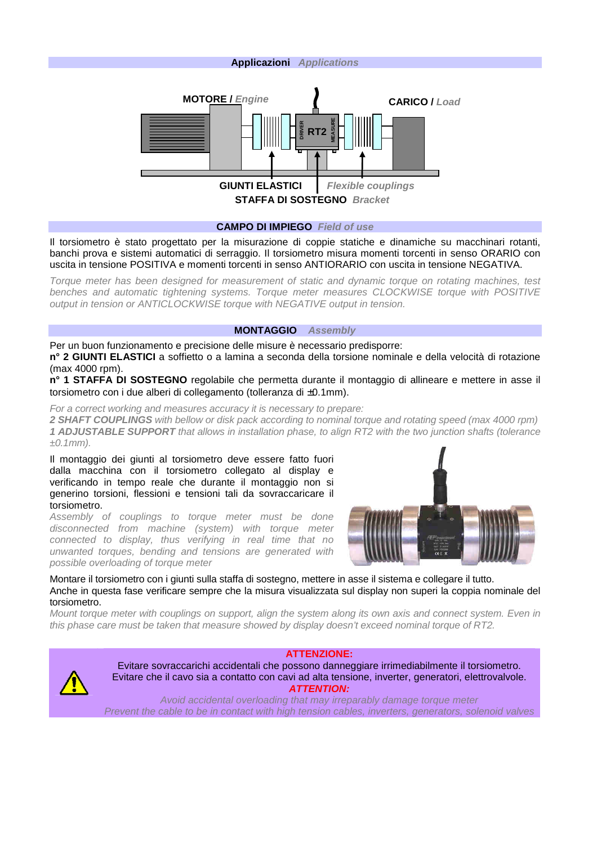## **Applicazioni Applications**



#### **CAMPO DI IMPIEGO Field of use**

Il torsiometro è stato progettato per la misurazione di coppie statiche e dinamiche su macchinari rotanti, banchi prova e sistemi automatici di serraggio. Il torsiometro misura momenti torcenti in senso ORARIO con uscita in tensione POSITIVA e momenti torcenti in senso ANTIORARIO con uscita in tensione NEGATIVA.

Torque meter has been designed for measurement of static and dynamic torque on rotating machines, test benches and automatic tightening systems. Torque meter measures CLOCKWISE torque with POSITIVE output in tension or ANTICLOCKWISE torque with NEGATIVE output in tension.

#### **MONTAGGIO Assembly**

Per un buon funzionamento e precisione delle misure è necessario predisporre:

**n° 2 GIUNTI ELASTICI** a soffietto o a lamina a seconda della torsione nominale e della velocità di rotazione (max 4000 rpm).

**n° 1 STAFFA DI SOSTEGNO** regolabile che permetta durante il montaggio di allineare e mettere in asse il torsiometro con i due alberi di collegamento (tolleranza di ±0.1mm).

For a correct working and measures accuracy it is necessary to prepare:

**2 SHAFT COUPLINGS** with bellow or disk pack according to nominal torque and rotating speed (max 4000 rpm) **1 ADJUSTABLE SUPPORT** that allows in installation phase, to align RT2 with the two junction shafts (tolerance  $±0.1mm$ ).

Il montaggio dei giunti al torsiometro deve essere fatto fuori dalla macchina con il torsiometro collegato al display e verificando in tempo reale che durante il montaggio non si generino torsioni, flessioni e tensioni tali da sovraccaricare il torsiometro.

Assembly of couplings to torque meter must be done disconnected from machine (system) with torque meter connected to display, thus verifying in real time that no unwanted torques, bending and tensions are generated with possible overloading of torque meter



Montare il torsiometro con i giunti sulla staffa di sostegno, mettere in asse il sistema e collegare il tutto. Anche in questa fase verificare sempre che la misura visualizzata sul display non superi la coppia nominale del torsiometro.

Mount torque meter with couplings on support, align the system along its own axis and connect system. Even in this phase care must be taken that measure showed by display doesn't exceed nominal torque of RT2.



**ATTENZIONE:**  Evitare sovraccarichi accidentali che possono danneggiare irrimediabilmente il torsiometro. Evitare che il cavo sia a contatto con cavi ad alta tensione, inverter, generatori, elettrovalvole.

**ATTENTION:** Avoid accidental overloading that may irreparably damage torque meter